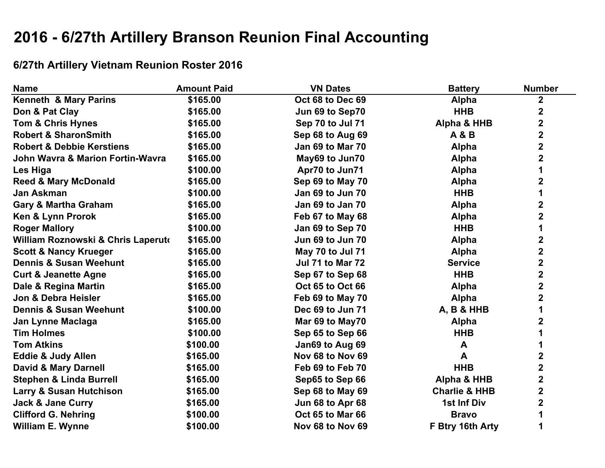# **2016 - 6/27th Artillery Branson Reunion Final Accounting**

## **6/27th Artillery Vietnam Reunion Roster 2016**

| <b>Name</b>                                 | <b>Amount Paid</b> | <b>VN Dates</b>         | <b>Battery</b>           | <b>Number</b>           |
|---------------------------------------------|--------------------|-------------------------|--------------------------|-------------------------|
| Kenneth & Mary Parins                       | \$165.00           | Oct 68 to Dec 69        | Alpha                    | $\overline{\mathbf{2}}$ |
| Don & Pat Clay                              | \$165.00           | Jun 69 to Sep70         | <b>HHB</b>               | $\mathbf 2$             |
| <b>Tom &amp; Chris Hynes</b>                | \$165.00           | Sep 70 to Jul 71        | Alpha & HHB              | $\overline{\mathbf{2}}$ |
| <b>Robert &amp; SharonSmith</b>             | \$165.00           | Sep 68 to Aug 69        | <b>A &amp; B</b>         | $\overline{\mathbf{2}}$ |
| <b>Robert &amp; Debbie Kerstiens</b>        | \$165.00           | Jan 69 to Mar 70        | Alpha                    | $\overline{\mathbf{2}}$ |
| <b>John Wavra &amp; Marion Fortin-Wavra</b> | \$165.00           | May69 to Jun70          | <b>Alpha</b>             | $\overline{\mathbf{2}}$ |
| Les Higa                                    | \$100.00           | Apr70 to Jun71          | <b>Alpha</b>             | 1                       |
| <b>Reed &amp; Mary McDonald</b>             | \$165.00           | Sep 69 to May 70        | <b>Alpha</b>             | $\mathbf 2$             |
| Jan Askman                                  | \$100.00           | Jan 69 to Jun 70        | <b>HHB</b>               | 1                       |
| <b>Gary &amp; Martha Graham</b>             | \$165.00           | Jan 69 to Jan 70        | <b>Alpha</b>             | $\mathbf 2$             |
| Ken & Lynn Prorok                           | \$165.00           | Feb 67 to May 68        | <b>Alpha</b>             | $\mathbf 2$             |
| <b>Roger Mallory</b>                        | \$100.00           | Jan 69 to Sep 70        | <b>HHB</b>               | 1                       |
| William Roznowski & Chris Laperuto          | \$165.00           | Jun 69 to Jun 70        | <b>Alpha</b>             | $\mathbf 2$             |
| <b>Scott &amp; Nancy Krueger</b>            | \$165.00           | May 70 to Jul 71        | <b>Alpha</b>             | $\mathbf 2$             |
| <b>Dennis &amp; Susan Weehunt</b>           | \$165.00           | <b>Jul 71 to Mar 72</b> | <b>Service</b>           | $\overline{\mathbf{2}}$ |
| <b>Curt &amp; Jeanette Agne</b>             | \$165.00           | Sep 67 to Sep 68        | <b>HHB</b>               | $\mathbf 2$             |
| Dale & Regina Martin                        | \$165.00           | Oct 65 to Oct 66        | <b>Alpha</b>             | $\overline{\mathbf{2}}$ |
| Jon & Debra Heisler                         | \$165.00           | Feb 69 to May 70        | <b>Alpha</b>             | $\overline{\mathbf{2}}$ |
| <b>Dennis &amp; Susan Weehunt</b>           | \$100.00           | Dec 69 to Jun 71        | <b>A, B &amp; HHB</b>    | 1                       |
| Jan Lynne Maclaga                           | \$165.00           | Mar 69 to May70         | <b>Alpha</b>             | 2                       |
| <b>Tim Holmes</b>                           | \$100.00           | Sep 65 to Sep 66        | <b>HHB</b>               | 1                       |
| <b>Tom Atkins</b>                           | \$100.00           | Jan69 to Aug 69         | A                        | 1                       |
| <b>Eddie &amp; Judy Allen</b>               | \$165.00           | Nov 68 to Nov 69        | A                        | $\mathbf 2$             |
| <b>David &amp; Mary Darnell</b>             | \$165.00           | Feb 69 to Feb 70        | <b>HHB</b>               | $\mathbf 2$             |
| <b>Stephen &amp; Linda Burrell</b>          | \$165.00           | Sep65 to Sep 66         | Alpha & HHB              | $\overline{\mathbf{2}}$ |
| <b>Larry &amp; Susan Hutchison</b>          | \$165.00           | Sep 68 to May 69        | <b>Charlie &amp; HHB</b> | $\overline{\mathbf{2}}$ |
| <b>Jack &amp; Jane Curry</b>                | \$165.00           | Jun 68 to Apr 68        | 1st Inf Div              | $\overline{\mathbf{2}}$ |
| <b>Clifford G. Nehring</b>                  | \$100.00           | Oct 65 to Mar 66        | <b>Bravo</b>             | 1                       |
| <b>William E. Wynne</b>                     | \$100.00           | Nov 68 to Nov 69        | F Btry 16th Arty         | 1                       |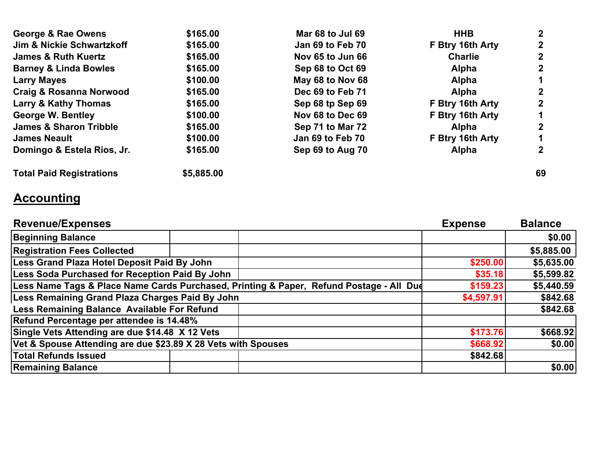| <b>George &amp; Rae Owens</b>      | \$165.00   | Mar 68 to Jul 69 | <b>HHB</b>       | $\mathbf{2}$   |
|------------------------------------|------------|------------------|------------------|----------------|
| Jim & Nickie Schwartzkoff          | \$165.00   | Jan 69 to Feb 70 | F Btry 16th Arty | $\mathbf{2}$   |
| <b>James &amp; Ruth Kuertz</b>     | \$165.00   | Nov 65 to Jun 66 | <b>Charlie</b>   | $\mathbf{2}$   |
| <b>Barney &amp; Linda Bowles</b>   | \$165.00   | Sep 68 to Oct 69 | <b>Alpha</b>     | $\mathbf{2}$   |
| <b>Larry Mayes</b>                 | \$100.00   | May 68 to Nov 68 | <b>Alpha</b>     | 1              |
| <b>Craig &amp; Rosanna Norwood</b> | \$165.00   | Dec 69 to Feb 71 | <b>Alpha</b>     | $\mathbf{2}$   |
| <b>Larry &amp; Kathy Thomas</b>    | \$165.00   | Sep 68 tp Sep 69 | F Btry 16th Arty | $\overline{2}$ |
| <b>George W. Bentley</b>           | \$100.00   | Nov 68 to Dec 69 | F Btry 16th Arty |                |
| <b>James &amp; Sharon Tribble</b>  | \$165.00   | Sep 71 to Mar 72 | <b>Alpha</b>     | $\mathbf{2}$   |
| <b>James Neault</b>                | \$100.00   | Jan 69 to Feb 70 | F Btry 16th Arty |                |
| Domingo & Estela Rios, Jr.         | \$165.00   | Sep 69 to Aug 70 | <b>Alpha</b>     | $\mathbf{2}$   |
| <b>Total Paid Registrations</b>    | \$5,885.00 |                  |                  | 69             |

## **Accounting**

| <b>Revenue/Expenses</b>                                                                 |  |            | <b>Expense</b> | <b>Balance</b> |
|-----------------------------------------------------------------------------------------|--|------------|----------------|----------------|
| <b>Beginning Balance</b>                                                                |  |            |                | \$0.00         |
| <b>Registration Fees Collected</b>                                                      |  |            |                | \$5,885.00     |
| Less Grand Plaza Hotel Deposit Paid By John                                             |  |            | \$250.00       | \$5,635.00     |
| Less Soda Purchased for Reception Paid By John                                          |  |            | \$35.18        | \$5,599.82     |
| Less Name Tags & Place Name Cards Purchased, Printing & Paper, Refund Postage - All Dud |  |            | \$159.23       | \$5,440.59     |
| Less Remaining Grand Plaza Charges Paid By John                                         |  | \$4,597.91 | \$842.68       |                |
| Less Remaining Balance Available For Refund                                             |  |            |                | \$842.68       |
| Refund Percentage per attendee is 14.48%                                                |  |            |                |                |
| Single Vets Attending are due \$14.48 X 12 Vets                                         |  |            | \$173.76       | \$668.92       |
| Vet & Spouse Attending are due \$23.89 X 28 Vets with Spouses                           |  |            | \$668.92       | \$0.00         |
| <b>Total Refunds Issued</b>                                                             |  |            | \$842.68       |                |
| <b>Remaining Balance</b>                                                                |  |            |                | \$0.00         |